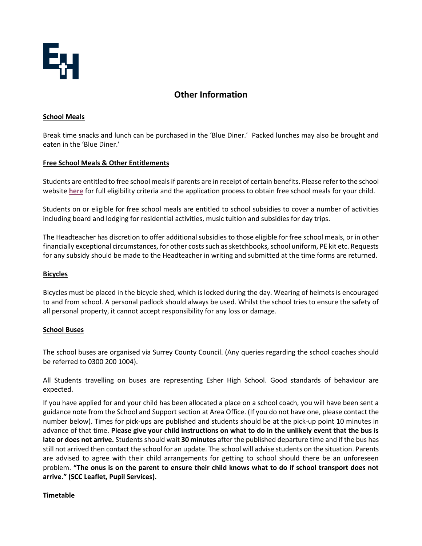

# **Other Information**

#### **School Meals**

Break time snacks and lunch can be purchased in the 'Blue Diner.' Packed lunches may also be brought and eaten in the 'Blue Diner.'

### **Free School Meals & Other Entitlements**

Students are entitled to free school meals if parents are in receipt of certain benefits. Please refer to the school website **[here](https://www.esherhigh.surrey.sch.uk/page/?title=Free+School+Meals&pid=37)** for full eligibility criteria and the application process to obtain free school meals for your child.

Students on or eligible for free school meals are entitled to school subsidies to cover a number of activities including board and lodging for residential activities, music tuition and subsidies for day trips.

The Headteacher has discretion to offer additional subsidies to those eligible for free school meals, or in other financially exceptional circumstances, for other costs such as sketchbooks, school uniform, PE kit etc. Requests for any subsidy should be made to the Headteacher in writing and submitted at the time forms are returned.

#### **Bicycles**

Bicycles must be placed in the bicycle shed, which is locked during the day. Wearing of helmets is encouraged to and from school. A personal padlock should always be used. Whilst the school tries to ensure the safety of all personal property, it cannot accept responsibility for any loss or damage.

#### **School Buses**

The school buses are organised via Surrey County Council. (Any queries regarding the school coaches should be referred to 0300 200 1004).

All Students travelling on buses are representing Esher High School. Good standards of behaviour are expected.

If you have applied for and your child has been allocated a place on a school coach, you will have been sent a guidance note from the School and Support section at Area Office. (If you do not have one, please contact the number below). Times for pick-ups are published and students should be at the pick-up point 10 minutes in advance of that time. **Please give your child instructions on what to do in the unlikely event that the bus is late or does not arrive.** Students should wait **30 minutes** after the published departure time and if the bus has still not arrived then contact the school for an update. The school will advise students on the situation. Parents are advised to agree with their child arrangements for getting to school should there be an unforeseen problem. **"The onus is on the parent to ensure their child knows what to do if school transport does not arrive." (SCC Leaflet, Pupil Services).** 

#### **Timetable**